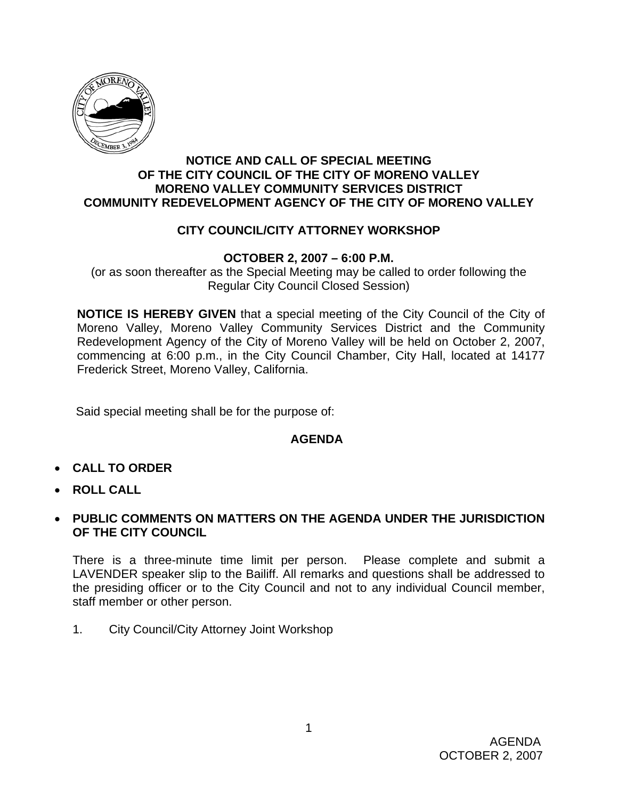

#### **NOTICE AND CALL OF SPECIAL MEETING OF THE CITY COUNCIL OF THE CITY OF MORENO VALLEY MORENO VALLEY COMMUNITY SERVICES DISTRICT COMMUNITY REDEVELOPMENT AGENCY OF THE CITY OF MORENO VALLEY**

## **CITY COUNCIL/CITY ATTORNEY WORKSHOP**

#### **OCTOBER 2, 2007 – 6:00 P.M.**

(or as soon thereafter as the Special Meeting may be called to order following the Regular City Council Closed Session)

**NOTICE IS HEREBY GIVEN** that a special meeting of the City Council of the City of Moreno Valley, Moreno Valley Community Services District and the Community Redevelopment Agency of the City of Moreno Valley will be held on October 2, 2007, commencing at 6:00 p.m., in the City Council Chamber, City Hall, located at 14177 Frederick Street, Moreno Valley, California.

Said special meeting shall be for the purpose of:

### **AGENDA**

- **CALL TO ORDER**
- **ROLL CALL**
- **PUBLIC COMMENTS ON MATTERS ON THE AGENDA UNDER THE JURISDICTION OF THE CITY COUNCIL**

There is a three-minute time limit per person. Please complete and submit a LAVENDER speaker slip to the Bailiff. All remarks and questions shall be addressed to the presiding officer or to the City Council and not to any individual Council member, staff member or other person.

1. City Council/City Attorney Joint Workshop